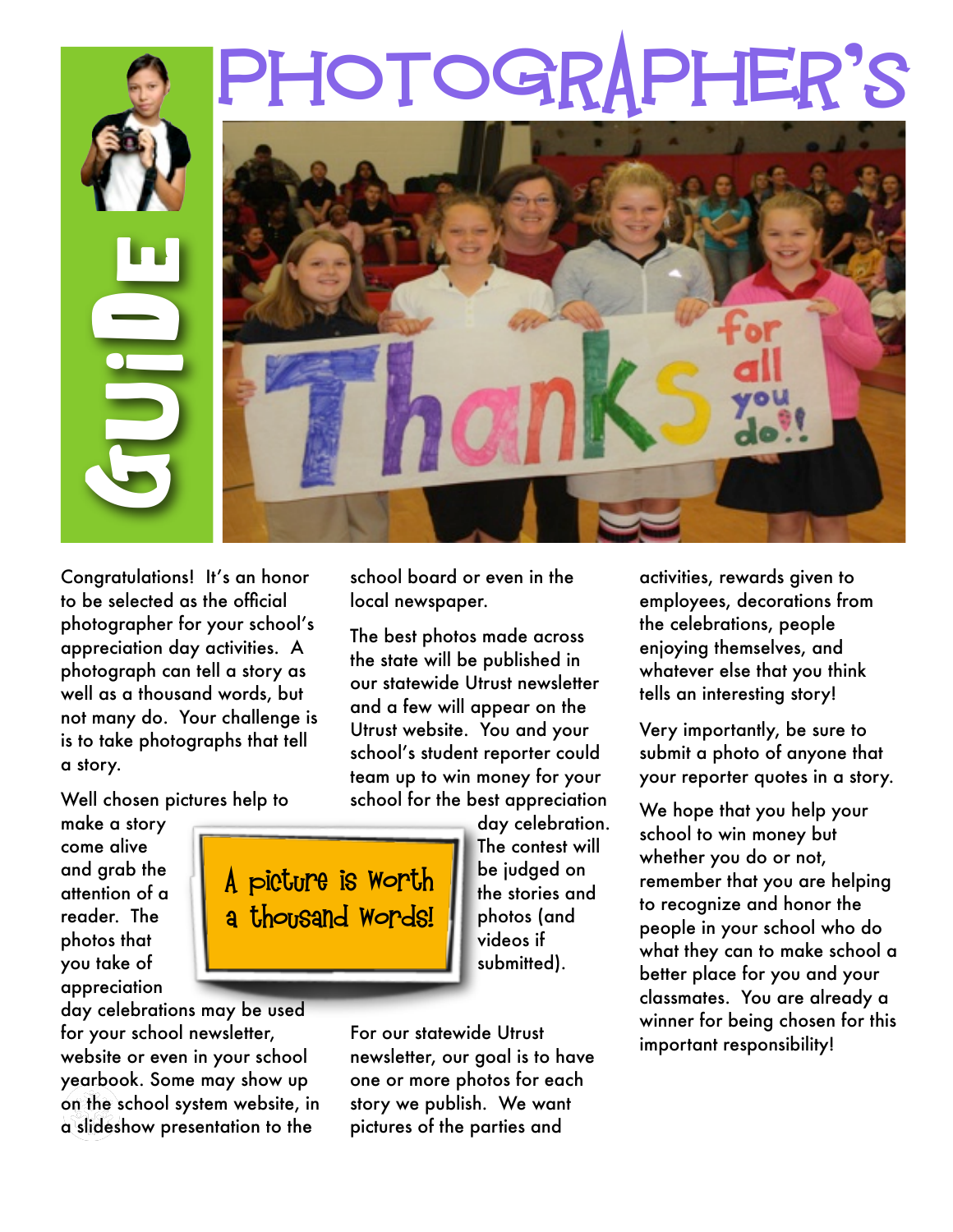## PHOTOGRAPHER'S



Congratulations! It's an honor to be selected as the official photographer for your school's appreciation day activities. A photograph can tell a story as well as a thousand words, but not many do. Your challenge is is to take photographs that tell a story.

Well chosen pictures help to

make a story come alive and grab the attention of a reader. The photos that you take of appreciation

day celebrations may be used for your school newsletter, website or even in your school yearbook. Some may show up on the school system website, in a slideshow presentation to the

school board or even in the local newspaper.

The best photos made across the state will be published in our statewide Utrust newsletter and a few will appear on the Utrust website. You and your school's student reporter could team up to win money for your school for the best appreciation



day celebration. The contest will be judged on the stories and photos (and videos if submitted).

For our statewide Utrust newsletter, our goal is to have one or more photos for each story we publish. We want pictures of the parties and

activities, rewards given to employees, decorations from the celebrations, people enjoying themselves, and whatever else that you think tells an interesting story!

Very importantly, be sure to submit a photo of anyone that your reporter quotes in a story.

We hope that you help your school to win money but whether you do or not, remember that you are helping to recognize and honor the people in your school who do what they can to make school a better place for you and your classmates. You are already a winner for being chosen for this important responsibility!